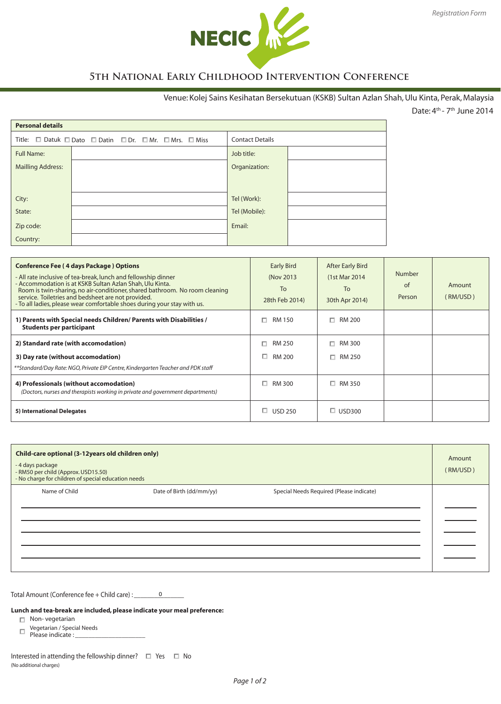

# **5th National Early Childhood Intervention Conference**

## Venue: Kolej Sains Kesihatan Bersekutuan (KSKB) Sultan Azlan Shah, Ulu Kinta, Perak, Malaysia

Date: 4th - 7th June 2014

| <b>Personal details</b>  |                                                 |                        |  |  |
|--------------------------|-------------------------------------------------|------------------------|--|--|
|                          | Title: Datuk DDato DDatin DDr. DMr. DMrs. DMiss | <b>Contact Details</b> |  |  |
| <b>Full Name:</b>        |                                                 | Job title:             |  |  |
| <b>Mailling Address:</b> |                                                 | Organization:          |  |  |
|                          |                                                 |                        |  |  |
| City:                    |                                                 | Tel (Work):            |  |  |
| State:                   |                                                 | Tel (Mobile):          |  |  |
| Zip code:                |                                                 | Email:                 |  |  |
| Country:                 |                                                 |                        |  |  |

| <b>Conference Fee (4 days Package) Options</b><br>- All rate inclusive of tea-break, lunch and fellowship dinner<br>- Accommodation is at KSKB Sultan Azlan Shah, Ulu Kinta.<br>Room is twin-sharing, no air-conditioner, shared bathroom. No room cleaning<br>service. Toiletries and bedsheet are not provided.<br>- To all ladies, please wear comfortable shoes during your stay with us. | <b>Early Bird</b><br>(Nov 2013)<br>To<br>28th Feb 2014) | <b>After Early Bird</b><br>(1st Mar 2014)<br>To<br>30th Apr 2014) | <b>Number</b><br>of<br>Person | Amount<br>(RM/USD) |
|-----------------------------------------------------------------------------------------------------------------------------------------------------------------------------------------------------------------------------------------------------------------------------------------------------------------------------------------------------------------------------------------------|---------------------------------------------------------|-------------------------------------------------------------------|-------------------------------|--------------------|
| 1) Parents with Special needs Children/ Parents with Disabilities /<br><b>Students per participant</b>                                                                                                                                                                                                                                                                                        | RM 150<br>п                                             | RM 200<br>п.                                                      |                               |                    |
| 2) Standard rate (with accomodation)                                                                                                                                                                                                                                                                                                                                                          | RM 250                                                  | RM 300<br>п.                                                      |                               |                    |
| 3) Day rate (without accomodation)                                                                                                                                                                                                                                                                                                                                                            | □<br>RM 200                                             | $\Box$ RM 250                                                     |                               |                    |
| **Standard/Day Rate: NGO, Private EIP Centre, Kindergarten Teacher and PDK staff                                                                                                                                                                                                                                                                                                              |                                                         |                                                                   |                               |                    |
| 4) Professionals (without accomodation)<br>(Doctors, nurses and therapists working in private and government departments)                                                                                                                                                                                                                                                                     | □<br>RM 300                                             | $\Box$ RM 350                                                     |                               |                    |
| 5) International Delegates                                                                                                                                                                                                                                                                                                                                                                    | <b>USD 250</b>                                          | $\Box$ USD300                                                     |                               |                    |

| Child-care optional (3-12years old children only)<br>- 4 days package<br>- RM50 per child (Approx. USD15.50)<br>- No charge for children of special education needs |                          |                                          | Amount<br>(RM/USD) |
|---------------------------------------------------------------------------------------------------------------------------------------------------------------------|--------------------------|------------------------------------------|--------------------|
| Name of Child                                                                                                                                                       | Date of Birth (dd/mm/yy) | Special Needs Required (Please indicate) |                    |

Total Amount (Conference fee + Child care) : \_\_\_\_\_\_\_\_\_\_\_\_\_\_\_ 0

**Lunch and tea-break are included, please indicate your meal preference:**

- Non-vegetarian
	- Vegetarian / Special Needs Please indicate : \_\_\_\_\_\_\_\_\_\_\_\_\_\_\_\_\_\_\_\_\_
- 

Interested in attending the fellowship dinner?  $\Box$  Yes  $\Box$  No (No additional charges)